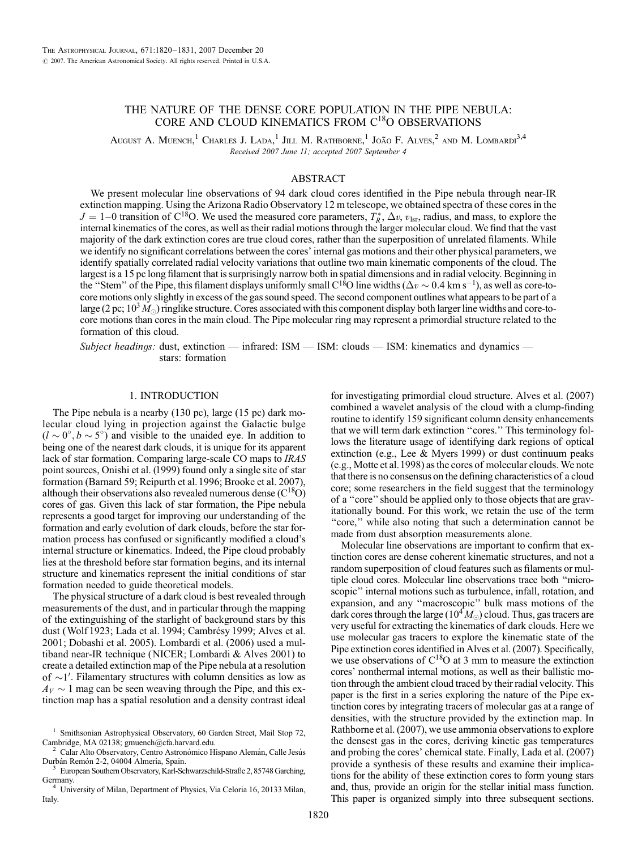# THE NATURE OF THE DENSE CORE POPULATION IN THE PIPE NEBULA: CORE AND CLOUD KINEMATICS FROM C18O OBSERVATIONS

August A. Muench,<sup>1</sup> Charles J. Lada,<sup>1</sup> Jill M. Rathborne,<sup>1</sup> João F. Alves,<sup>2</sup> and M. Lombardi<sup>3,4</sup> Received 2007 June 11; accepted 2007 September 4

## ABSTRACT

We present molecular line observations of 94 dark cloud cores identified in the Pipe nebula through near-IR extinction mapping. Using the Arizona Radio Observatory 12 m telescope, we obtained spectra of these cores in the  $J = 1-0$  transition of C<sup>18</sup>O. We used the measured core parameters,  $T_R^*$ ,  $\Delta v$ ,  $v_{\text{lsr}}$ , radius, and mass, to explore the internal kinematics of the cores, as well as their radial motions through the larger molecular cloud. We find that the vast majority of the dark extinction cores are true cloud cores, rather than the superposition of unrelated filaments. While we identify no significant correlations between the cores' internal gas motions and their other physical parameters, we identify spatially correlated radial velocity variations that outline two main kinematic components of the cloud. The largest is a 15 pc long filament that is surprisingly narrow both in spatial dimensions and in radial velocity. Beginning in the "Stem" of the Pipe, this filament displays uniformly small C<sup>18</sup>O line widths ( $\Delta v \sim 0.4$  km s<sup>-1</sup>), as well as core-tocore motions only slightly in excess of the gas sound speed. The second component outlines what appears to be part of a large (2 pc;  $10<sup>3</sup>M<sub>o</sub>$ ) ringlike structure. Cores associated with this component display both larger line widths and core-tocore motions than cores in the main cloud. The Pipe molecular ring may represent a primordial structure related to the formation of this cloud.

Subject headings: dust, extinction — infrared: ISM — ISM: clouds — ISM: kinematics and dynamics stars: formation

## 1. INTRODUCTION

The Pipe nebula is a nearby (130 pc), large (15 pc) dark molecular cloud lying in projection against the Galactic bulge  $(l \sim 0^{\circ}, b \sim 5^{\circ})$  and visible to the unaided eye. In addition to being one of the nearest dark clouds, it is unique for its apparent lack of star formation. Comparing large-scale CO maps to IRAS point sources, Onishi et al. (1999) found only a single site of star formation (Barnard 59; Reipurth et al. 1996; Brooke et al. 2007), although their observations also revealed numerous dense  $(C^{18}O)$ cores of gas. Given this lack of star formation, the Pipe nebula represents a good target for improving our understanding of the formation and early evolution of dark clouds, before the star formation process has confused or significantly modified a cloud's internal structure or kinematics. Indeed, the Pipe cloud probably lies at the threshold before star formation begins, and its internal structure and kinematics represent the initial conditions of star formation needed to guide theoretical models.

The physical structure of a dark cloud is best revealed through measurements of the dust, and in particular through the mapping of the extinguishing of the starlight of background stars by this dust (Wolf 1923; Lada et al. 1994; Cambrésy 1999; Alves et al. 2001; Dobashi et al. 2005). Lombardi et al. (2006) used a multiband near-IR technique (NICER; Lombardi & Alves 2001) to create a detailed extinction map of the Pipe nebula at a resolution of  $\sim$ 1'. Filamentary structures with column densities as low as  $A_V \sim 1$  mag can be seen weaving through the Pipe, and this extinction map has a spatial resolution and a density contrast ideal

Calar Alto Observatory, Centro Astronómico Hispano Alemán, Calle Jesús

for investigating primordial cloud structure. Alves et al. (2007) combined a wavelet analysis of the cloud with a clump-finding routine to identify 159 significant column density enhancements that we will term dark extinction ''cores.'' This terminology follows the literature usage of identifying dark regions of optical extinction (e.g., Lee & Myers 1999) or dust continuum peaks (e.g., Motte et al.1998) as the cores of molecular clouds. We note that there is no consensus on the defining characteristics of a cloud core; some researchers in the field suggest that the terminology of a ''core'' should be applied only to those objects that are gravitationally bound. For this work, we retain the use of the term "core," while also noting that such a determination cannot be made from dust absorption measurements alone.

Molecular line observations are important to confirm that extinction cores are dense coherent kinematic structures, and not a random superposition of cloud features such as filaments or multiple cloud cores. Molecular line observations trace both ''microscopic'' internal motions such as turbulence, infall, rotation, and expansion, and any ''macroscopic'' bulk mass motions of the dark cores through the large  $(10^4 M_{\odot})$  cloud. Thus, gas tracers are very useful for extracting the kinematics of dark clouds. Here we use molecular gas tracers to explore the kinematic state of the Pipe extinction cores identified in Alves et al. (2007). Specifically, we use observations of  $C^{18}O$  at 3 mm to measure the extinction cores' nonthermal internal motions, as well as their ballistic motion through the ambient cloud traced by their radial velocity. This paper is the first in a series exploring the nature of the Pipe extinction cores by integrating tracers of molecular gas at a range of densities, with the structure provided by the extinction map. In Rathborne et al. (2007), we use ammonia observations to explore the densest gas in the cores, deriving kinetic gas temperatures and probing the cores' chemical state. Finally, Lada et al. (2007) provide a synthesis of these results and examine their implications for the ability of these extinction cores to form young stars and, thus, provide an origin for the stellar initial mass function. This paper is organized simply into three subsequent sections.

<sup>&</sup>lt;sup>1</sup> Smithsonian Astrophysical Observatory, 60 Garden Street, Mail Stop 72, Cambridge, MA 02138; gmuench@cfa.harvard.edu.

Durbán Remón 2-2, 04004 Almeria, Spain.<br><sup>3</sup> European Southern Observatory, Karl-Schwarzschild-Straße 2, 85748 Garching, Germany. <sup>4</sup> University of Milan, Department of Physics, Via Celoria 16, 20133 Milan,

Italy.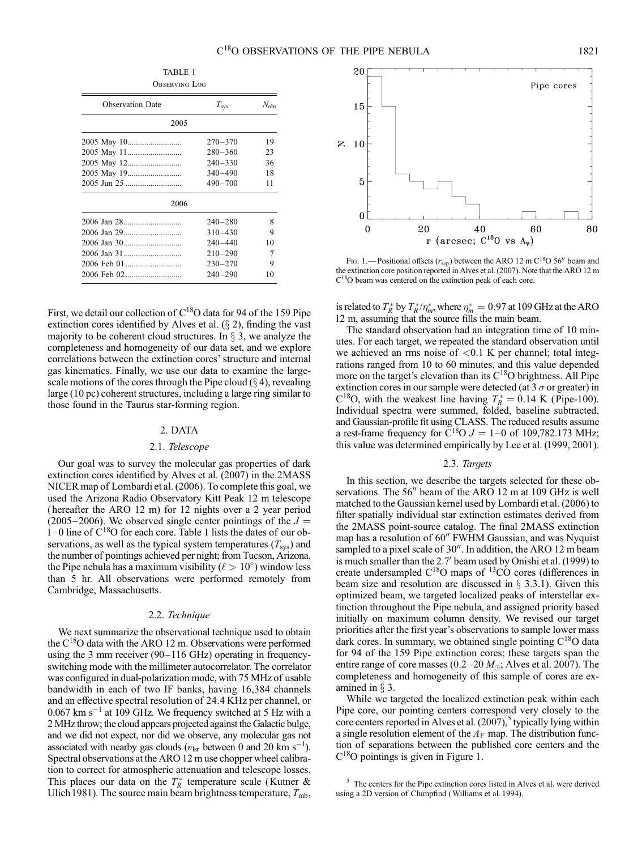| <b>OBSERVING LOG</b>    |               |               |  |  |  |  |  |
|-------------------------|---------------|---------------|--|--|--|--|--|
| <b>Observation Date</b> | $T_{\rm sys}$ | $N_{\rm obs}$ |  |  |  |  |  |
| 2005                    |               |               |  |  |  |  |  |
|                         | $270 - 370$   | 19            |  |  |  |  |  |
|                         | $280 - 360$   | 23            |  |  |  |  |  |
|                         | $240 - 330$   | 36            |  |  |  |  |  |
|                         | $340 - 490$   | 18            |  |  |  |  |  |
|                         | $490 - 700$   | 11            |  |  |  |  |  |
| 2006                    |               |               |  |  |  |  |  |
|                         | $240 - 280$   | 8             |  |  |  |  |  |
|                         | $310 - 430$   | 9             |  |  |  |  |  |
|                         | $240 - 440$   | 10            |  |  |  |  |  |
|                         | $210 - 290$   | 7             |  |  |  |  |  |
|                         | $230 - 270$   | 9             |  |  |  |  |  |
|                         | $240 - 290$   | 10            |  |  |  |  |  |

First, we detail our collection of  $C^{18}O$  data for 94 of the 159 Pipe extinction cores identified by Alves et al.  $(\S 2)$ , finding the vast majority to be coherent cloud structures. In  $\S$  3, we analyze the completeness and homogeneity of our data set, and we explore correlations between the extinction cores' structure and internal gas kinematics. Finally, we use our data to examine the largescale motions of the cores through the Pipe cloud  $(\S 4)$ , revealing large (10 pc) coherent structures, including a large ring similar to those found in the Taurus star-forming region.

### 2. DATA

#### 2.1. Telescope

Our goal was to survey the molecular gas properties of dark extinction cores identified by Alves et al. (2007) in the 2MASS NICER map of Lombardi et al. (2006). To complete this goal, we used the Arizona Radio Observatory Kitt Peak 12 m telescope ( hereafter the ARO 12 m) for 12 nights over a 2 year period (2005–2006). We observed single center pointings of the  $J =$  $1-0$  line of  $C^{18}O$  for each core. Table 1 lists the dates of our observations, as well as the typical system temperatures  $(T_{sys})$  and the number of pointings achieved per night; from Tucson, Arizona, the Pipe nebula has a maximum visibility ( $\ell > 10^{\circ}$ ) window less than 5 hr. All observations were performed remotely from Cambridge, Massachusetts.

## 2.2. Technique

We next summarize the observational technique used to obtain the  $C^{18}O$  data with the ARO 12 m. Observations were performed using the 3 mm receiver  $(90-116 \text{ GHz})$  operating in frequencyswitching mode with the millimeter autocorrelator. The correlator was configured in dual-polarization mode, with 75 MHz of usable bandwidth in each of two IF banks, having 16,384 channels and an effective spectral resolution of 24.4 KHz per channel, or  $0.067$  km s<sup>-1</sup> at 109 GHz. We frequency switched at 5 Hz with a 2 MHz throw; the cloud appears projected against the Galactic bulge, and we did not expect, nor did we observe, any molecular gas not associated with nearby gas clouds ( $v_{\text{lsr}}$  between 0 and 20 km s<sup>-1</sup>). Spectral observations at the ARO 12 m use chopper wheel calibration to correct for atmospheric attenuation and telescope losses. This places our data on the  $T_R^*$  temperature scale (Kutner & Ulich 1981). The source main beam brightness temperature,  $T_{\rm mb}$ ,



Fig. 1.— Positional offsets ( $r_{\rm sep}$ ) between the ARO 12 m C<sup>18</sup>O 56<sup>0</sup> beam and the extinction core position reported in Alves et al. (2007). Note that the ARO 12 m  $C^{18}O$  beam was centered on the extinction peak of each core.

is related to  $T_R^*$  by  $T_R^* / \eta_m^*$ , where  $\eta_m^* = 0.97$  at 109 GHz at the ARO 12 m, assuming that the source fills the main beam.

The standard observation had an integration time of 10 minutes. For each target, we repeated the standard observation until we achieved an rms noise of  $< 0.1$  K per channel; total integrations ranged from 10 to 60 minutes, and this value depended more on the target's elevation than its  $C^{18}O$  brightness. All Pipe extinction cores in our sample were detected (at  $3\sigma$  or greater) in  $C^{18}O$ , with the weakest line having  $T_R^* = 0.14$  K (Pipe-100). Individual spectra were summed, folded, baseline subtracted, and Gaussian-profile fit using CLASS. The reduced results assume a rest-frame frequency for  $\overline{C}^{18}O J = 1-0$  of 109,782.173 MHz; this value was determined empirically by Lee et al. (1999, 2001).

#### 2.3. Targets

In this section, we describe the targets selected for these observations. The  $56''$  beam of the ARO 12 m at 109 GHz is well matched to the Gaussian kernel used by Lombardi et al. (2006) to filter spatially individual star extinction estimates derived from the 2MASS point-source catalog. The final 2MASS extinction map has a resolution of 60" FWHM Gaussian, and was Nyquist sampled to a pixel scale of  $30$ ". In addition, the ARO 12 m beam is much smaller than the 2.7' beam used by Onishi et al. (1999) to create undersampled  $C^{18}O$  maps of  $^{13}CO$  cores (differences in beam size and resolution are discussed in  $\S$  3.3.1). Given this optimized beam, we targeted localized peaks of interstellar extinction throughout the Pipe nebula, and assigned priority based initially on maximum column density. We revised our target priorities after the first year's observations to sample lower mass dark cores. In summary, we obtained single pointing  $C^{18}O$  data for 94 of the 159 Pipe extinction cores; these targets span the entire range of core masses (0.2–20  $M_{\odot}$ ; Alves et al. 2007). The completeness and homogeneity of this sample of cores are examined in  $\S$  3.

While we targeted the localized extinction peak within each Pipe core, our pointing centers correspond very closely to the core centers reported in Alves et al.  $(2007)$ ,<sup>5</sup> typically lying within a single resolution element of the  $A_V$  map. The distribution function of separations between the published core centers and the  $C^{18}O$  pointings is given in Figure 1.

<sup>5</sup> The centers for the Pipe extinction cores listed in Alves et al. were derived using a 2D version of Clumpfind (Williams et al. 1994).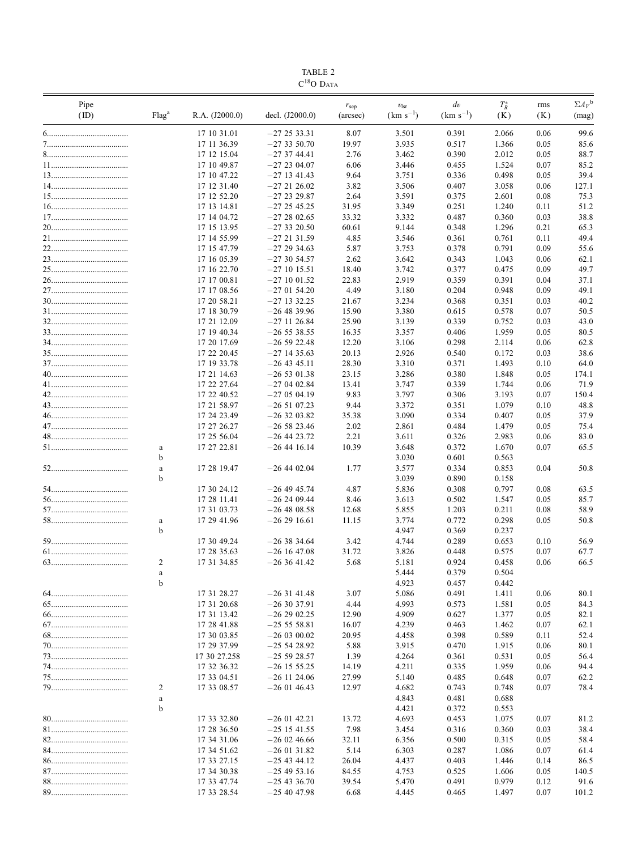| TABLE. |
|--------|
| ۵۸     |

| Pipe |                   |                            |                                  | r <sub>sep</sub> | $v_{\rm lsr}$  | $\frac{dv}{dt}$ | $T_R^\ast$     | rms          | $\Sigma A_V^{\text{b}}$ |
|------|-------------------|----------------------------|----------------------------------|------------------|----------------|-----------------|----------------|--------------|-------------------------|
| (ID) | Flag <sup>a</sup> | R.A. (J2000.0)             | decl. $(J2000.0)$                | (arcsec)         | $(km s^{-1})$  | $(km s^{-1})$   | (K)            | (K)          | (mag)                   |
|      |                   | 17 10 31.01                | $-272533.31$                     | 8.07             | 3.501          | 0.391           | 2.066          | 0.06         | 99.6                    |
|      |                   | 17 11 36.39                | $-273350.70$                     | 19.97            | 3.935          | 0.517           | 1.366          | 0.05         | 85.6                    |
|      |                   | 17 12 15.04                | $-273744.41$                     | 2.76             | 3.462          | 0.390           | 2.012          | 0.05         | 88.7                    |
|      |                   | 17 10 49.87                | $-272304.07$                     | 6.06             | 3.446          | 0.455           | 1.524          | 0.07         | 85.2                    |
|      |                   | 17 10 47.22                | $-27$ 13 41.43                   | 9.64             | 3.751          | 0.336           | 0.498          | 0.05         | 39.4                    |
|      |                   | 17 12 31.40                | $-272126.02$                     | 3.82             | 3.506          | 0.407           | 3.058          | 0.06         | 127.1                   |
|      |                   | 17 12 52.20                | $-272329.87$                     | 2.64             | 3.591          | 0.375           | 2.601          | 0.08         | 75.3                    |
|      |                   | 17 13 14.81                | $-272545.25$                     | 31.95            | 3.349          | 0.251           | 1.240          | 0.11         | 51.2                    |
|      |                   | 17 14 04.72                | $-272802.65$                     | 33.32            | 3.332          | 0.487           | 0.360          | 0.03         | 38.8                    |
|      |                   | 17 15 13.95                | $-273320.50$                     | 60.61            | 9.144          | 0.348           | 1.296          | 0.21         | 65.3                    |
|      |                   | 17 14 55.99                | $-27$ 21 31.59                   | 4.85             | 3.546          | 0.361           | 0.761          | 0.11         | 49.4                    |
|      |                   | 17 15 47.79<br>17 16 05.39 | $-272934.63$<br>$-273054.57$     | 5.87<br>2.62     | 3.753<br>3.642 | 0.378<br>0.343  | 0.791<br>1.043 | 0.09<br>0.06 | 55.6<br>62.1            |
|      |                   | 17 16 22.70                | $-27$ 10 15.51                   | 18.40            | 3.742          | 0.377           | 0.475          | 0.09         | 49.7                    |
|      |                   | 17 17 00.81                | $-27$ 10 01.52                   | 22.83            | 2.919          | 0.359           | 0.391          | 0.04         | 37.1                    |
|      |                   | 17 17 08.56                | $-270154.20$                     | 4.49             | 3.180          | 0.204           | 0.948          | 0.09         | 49.1                    |
|      |                   | 17 20 58.21                | $-27$ 13 32.25                   | 21.67            | 3.234          | 0.368           | 0.351          | 0.03         | 40.2                    |
|      |                   | 17 18 30.79                | $-264839.96$                     | 15.90            | 3.380          | 0.615           | 0.578          | 0.07         | 50.5                    |
|      |                   | 17 21 12.09                | $-27$ 11 26.84                   | 25.90            | 3.139          | 0.339           | 0.752          | 0.03         | 43.0                    |
|      |                   | 17 19 40.34                | $-26538.55$                      | 16.35            | 3.357          | 0.406           | 1.959          | 0.05         | 80.5                    |
|      |                   | 17 20 17.69                | $-265922.48$                     | 12.20            | 3.106          | 0.298           | 2.114          | 0.06         | 62.8                    |
|      |                   | 17 22 20.45                | $-27$ 14 35.63                   | 20.13            | 2.926          | 0.540           | 0.172          | 0.03         | 38.6                    |
|      |                   | 17 19 33.78                | $-26$ 43 45.11                   | 28.30            | 3.310          | 0.371           | 1.493          | 0.10         | 64.0                    |
|      |                   | 17 21 14.63                | $-265301.38$                     | 23.15            | 3.286          | 0.380           | 1.848          | 0.05         | 174.1                   |
|      |                   | 17 22 27.64                | $-270402.84$                     | 13.41            | 3.747          | 0.339           | 1.744          | 0.06         | 71.9                    |
|      |                   | 17 22 40.52                | $-270504.19$                     | 9.83             | 3.797          | 0.306           | 3.193          | 0.07         | 150.4                   |
|      |                   | 17 21 58.97                | $-265107.23$                     | 9.44             | 3.372          | 0.351           | 1.079          | 0.10         | 48.8                    |
|      |                   | 17 24 23.49                | $-263203.82$                     | 35.38            | 3.090          | 0.334           | 0.407          | 0.05         | 37.9                    |
|      |                   | 17 27 26.27                | $-265823.46$                     | 2.02             | 2.861          | 0.484           | 1.479          | 0.05         | 75.4                    |
|      |                   | 17 25 56.04                | $-26$ 44 23.72                   | 2.21             | 3.611          | 0.326           | 2.983          | 0.06         | 83.0                    |
|      | a<br>b            | 17 27 22.81                | $-26$ 44 16.14                   | 10.39            | 3.648          | 0.372           | 1.670          | 0.07         | 65.5                    |
|      |                   | 17 28 19.47                | $-26$ 44 02.04                   | 1.77             | 3.030<br>3.577 | 0.601<br>0.334  | 0.563<br>0.853 | 0.04         | 50.8                    |
|      | $\rm{a}$<br>b     |                            |                                  |                  | 3.039          | 0.890           | 0.158          |              |                         |
|      |                   | 17 30 24.12                | $-26$ 49 45.74                   | 4.87             | 5.836          | 0.308           | 0.797          | 0.08         | 63.5                    |
|      |                   | 17 28 11.41                | $-262409.44$                     | 8.46             | 3.613          | 0.502           | 1.547          | 0.05         | 85.7                    |
|      |                   | 17 31 03.73                | $-264808.58$                     | 12.68            | 5.855          | 1.203           | 0.211          | 0.08         | 58.9                    |
|      | a                 | 17 29 41.96                | $-262916.61$                     | 11.15            | 3.774          | 0.772           | 0.298          | 0.05         | 50.8                    |
|      | b                 |                            |                                  |                  | 4.947          | 0.369           | 0.237          |              |                         |
|      |                   | 17 30 49.24                | $-263834.64$                     | 3.42             | 4.744          | 0.289           | 0.653          | 0.10         | 56.9                    |
|      |                   | 17 28 35.63                | $-26$ 16 47.08                   | 31.72            | 3.826          | 0.448           | 0.575          | 0.07         | 67.7                    |
| 63   | 2                 | 17 31 34.85                | $-263641.42$                     | 5.68             | 5.181          | 0.924           | 0.458          | 0.06         | 66.5                    |
|      | a                 |                            |                                  |                  | 5.444          | 0.379           | 0.504          |              |                         |
|      | $\mathbf b$       |                            |                                  |                  | 4.923          | 0.457           | 0.442          |              |                         |
|      |                   | 17 31 28.27                | $-263141.48$                     | 3.07             | 5.086          | 0.491           | 1.411          | 0.06         | 80.1                    |
|      |                   | 17 31 20.68                | $-263037.91$                     | 4.44             | 4.993          | 0.573           | 1.581          | 0.05         | 84.3                    |
|      |                   | 17 31 13.42                | $-262902.25$                     | 12.90            | 4.909          | 0.627           | 1.377          | 0.05         | 82.1                    |
|      |                   | 17 28 41.88                | $-255558.81$                     | 16.07            | 4.239          | 0.463           | 1.462          | 0.07         | 62.1                    |
|      |                   | 17 30 03.85                | $-260300.02$                     | 20.95            | 4.458          | 0.398           | 0.589          | 0.11         | 52.4                    |
|      |                   | 17 29 37.99                | $-255428.92$                     | 5.88             | 3.915          | 0.470           | 1.915          | 0.06         | 80.1                    |
|      |                   | 17 30 27.258               | $-255928.57$                     | 1.39             | 4.264          | 0.361           | 0.531          | 0.05         | 56.4                    |
|      |                   | 17 32 36.32<br>17 33 04.51 | $-26$ 15 55.25<br>$-26$ 11 24.06 | 14.19<br>27.99   | 4.211<br>5.140 | 0.335<br>0.485  | 1.959<br>0.648 | 0.06<br>0.07 | 94.4<br>62.2            |
|      | 2                 | 17 33 08.57                | $-260146.43$                     | 12.97            | 4.682          | 0.743           | 0.748          | 0.07         | 78.4                    |
|      | a                 |                            |                                  |                  | 4.843          | 0.481           | 0.688          |              |                         |
|      | $\mathbf b$       |                            |                                  |                  | 4.421          | 0.372           | 0.553          |              |                         |
|      |                   | 17 33 32.80                | $-260142.21$                     | 13.72            | 4.693          | 0.453           | 1.075          | 0.07         | 81.2                    |
|      |                   | 17 28 36.50                | $-25$ 15 41.55                   | 7.98             | 3.454          | 0.316           | 0.360          | 0.03         | 38.4                    |
|      |                   | 17 34 31.06                | $-260246.66$                     | 32.11            | 6.356          | 0.500           | 0.315          | 0.05         | 58.4                    |
|      |                   | 17 34 51.62                | $-260131.82$                     | 5.14             | 6.303          | 0.287           | 1.086          | 0.07         | 61.4                    |
|      |                   | 17 33 27.15                | $-25$ 43 44.12                   | 26.04            | 4.437          | 0.403           | 1.446          | 0.14         | 86.5                    |
|      |                   | 17 34 30.38                | $-254953.16$                     | 84.55            | 4.753          | 0.525           | 1.606          | 0.05         | 140.5                   |
|      |                   | 17 33 47.74                | $-25$ 43 36.70                   | 39.54            | 5.470          | 0.491           | 0.979          | 0.12         | 91.6                    |
|      |                   | 17 33 28.54                | $-25$ 40 47.98                   | 6.68             | 4.445          | 0.465           | 1.497          | 0.07         | 101.2                   |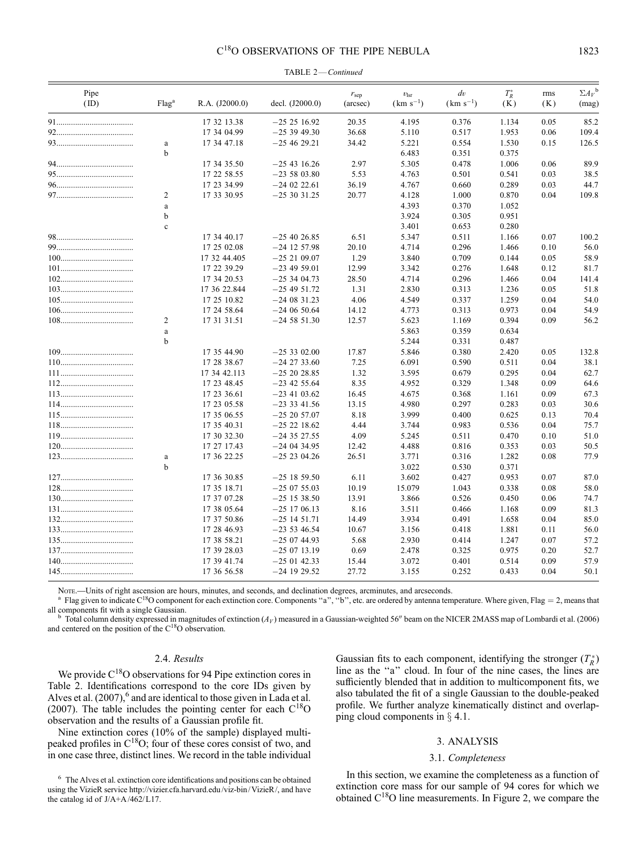|  |  | TABLE 2-Continued |
|--|--|-------------------|
|--|--|-------------------|

| Pipe<br>(ID) | Flag <sup>a</sup> | R.A. (J2000.0) | decl. $(J2000.0)$ | r <sub>sep</sub><br>(arcsec) | $v_{\rm lsr}$<br>$(km s^{-1})$ | $\frac{dv}{dt}$<br>$(km s^{-1})$ | $T_R^*$<br>(K) | rms<br>(K)   | $\Sigma A_V^{\ b}$<br>(mag) |
|--------------|-------------------|----------------|-------------------|------------------------------|--------------------------------|----------------------------------|----------------|--------------|-----------------------------|
|              |                   | 17 32 13.38    | $-252516.92$      | 20.35                        | 4.195                          | 0.376                            | 1.134          | 0.05         | 85.2                        |
|              |                   | 17 34 04.99    | $-253949.30$      | 36.68                        | 5.110                          | 0.517                            | 1.953          | 0.06         | 109.4                       |
|              | a                 | 17 34 47.18    | $-254629.21$      | 34.42                        | 5.221                          | 0.554                            | 1.530          | 0.15         | 126.5                       |
|              | b                 |                |                   |                              | 6.483                          | 0.351                            | 0.375          |              |                             |
|              |                   | 17 34 35.50    | $-25$ 43 16.26    | 2.97                         | 5.305                          | 0.478                            | 1.006          | 0.06         | 89.9                        |
|              |                   | 17 22 58.55    | $-235803.80$      | 5.53                         | 4.763                          | 0.501                            | 0.541          | 0.03         | 38.5                        |
|              |                   | 17 23 34.99    | $-24$ 02 22.61    | 36.19                        | 4.767                          | 0.660                            | 0.289          | 0.03         | 44.7                        |
|              | 2                 | 17 33 30.95    | $-253031.25$      | 20.77                        | 4.128                          | 1.000                            | 0.870          | 0.04         | 109.8                       |
|              | $\rm{a}$          |                |                   |                              | 4.393                          | 0.370                            | 1.052          |              |                             |
|              | $\mathbf b$       |                |                   |                              | 3.924                          | 0.305                            | 0.951          |              |                             |
|              | $\mathbf c$       |                |                   |                              | 3.401                          | 0.653                            | 0.280          |              |                             |
|              |                   | 17 34 40.17    | $-25$ 40 26.85    | 6.51                         | 5.347                          | 0.511                            | 1.166          | 0.07         | 100.2                       |
|              |                   | 17 25 02.08    | $-24$ 12 57.98    | 20.10                        | 4.714                          | 0.296                            | 1.466          | 0.10         | 56.0                        |
|              |                   | 17 32 44.405   | $-252109.07$      | 1.29                         | 3.840                          | 0.709                            | 0.144          | 0.05         | 58.9                        |
|              |                   | 17 22 39.29    | $-23$ 49 59.01    | 12.99                        | 3.342                          | 0.276                            | 1.648          | 0.12         | 81.7                        |
|              |                   | 17 34 20.53    | $-253404.73$      | 28.50                        | 4.714                          | 0.296                            | 1.466          | 0.04         | 141.4                       |
|              |                   | 17 36 22.844   | $-25$ 49 51.72    | 1.31<br>4.06                 | 2.830                          | 0.313                            | 1.236          | 0.05<br>0.04 | 51.8<br>54.0                |
|              |                   | 17 25 10.82    | $-240831.23$      |                              | 4.549                          | 0.337                            | 1.259          |              |                             |
|              | $\overline{2}$    | 17 24 58.64    | $-240650.64$      | 14.12<br>12.57               | 4.773                          | 0.313                            | 0.973          | 0.04<br>0.09 | 54.9<br>56.2                |
|              |                   | 17 31 31.51    | $-245851.30$      |                              | 5.623<br>5.863                 | 1.169<br>0.359                   | 0.394<br>0.634 |              |                             |
|              | a<br>b            |                |                   |                              | 5.244                          | 0.331                            |                |              |                             |
|              |                   | 17 35 44.90    | $-25302.00$       | 17.87                        | 5.846                          | 0.380                            | 0.487<br>2.420 | 0.05         | 132.8                       |
|              |                   | 17 28 38.67    | $-24$ 27 33.60    | 7.25                         | 6.091                          | 0.590                            | 0.511          | 0.04         | 38.1                        |
|              |                   | 17 34 42.113   | $-252028.85$      | 1.32                         | 3.595                          | 0.679                            | 0.295          | 0.04         | 62.7                        |
|              |                   | 17 23 48.45    | $-23$ 42 55.64    | 8.35                         | 4.952                          | 0.329                            | 1.348          | 0.09         | 64.6                        |
|              |                   | 17 23 36.61    | $-23$ 41 03.62    | 16.45                        | 4.675                          | 0.368                            | 1.161          | 0.09         | 67.3                        |
|              |                   | 17 23 05.58    | $-23$ 33 41.56    | 13.15                        | 4.980                          | 0.297                            | 0.283          | 0.03         | 30.6                        |
|              |                   | 17 35 06.55    | $-252057.07$      | 8.18                         | 3.999                          | 0.400                            | 0.625          | 0.13         | 70.4                        |
|              |                   | 17 35 40.31    | $-252218.62$      | 4.44                         | 3.744                          | 0.983                            | 0.536          | 0.04         | 75.7                        |
|              |                   | 17 30 32.30    | $-243527.55$      | 4.09                         | 5.245                          | 0.511                            | 0.470          | 0.10         | 51.0                        |
|              |                   | 17 27 17.43    | $-24$ 04 34.95    | 12.42                        | 4.488                          | 0.816                            | 0.353          | 0.03         | 50.5                        |
|              | a                 | 17 36 22.25    | $-252304.26$      | 26.51                        | 3.771                          | 0.316                            | 1.282          | 0.08         | 77.9                        |
|              | $\mathbf b$       |                |                   |                              | 3.022                          | 0.530                            | 0.371          |              |                             |
|              |                   | 17 36 30.85    | $-25$ 18 59.50    | 6.11                         | 3.602                          | 0.427                            | 0.953          | 0.07         | 87.0                        |
|              |                   | 17 35 18.71    | $-250755.03$      | 10.19                        | 15.079                         | 1.043                            | 0.338          | 0.08         | 58.0                        |
|              |                   | 17 37 07.28    | $-25$ 15 38.50    | 13.91                        | 3.866                          | 0.526                            | 0.450          | 0.06         | 74.7                        |
|              |                   | 17 38 05.64    | $-25$ 17 06.13    | 8.16                         | 3.511                          | 0.466                            | 1.168          | 0.09         | 81.3                        |
|              |                   | 17 37 50.86    | $-25$ 14 51.71    | 14.49                        | 3.934                          | 0.491                            | 1.658          | 0.04         | 85.0                        |
|              |                   | 17 28 46.93    | $-235346.54$      | 10.67                        | 3.156                          | 0.418                            | 1.881          | 0.11         | 56.0                        |
|              |                   | 17 38 58.21    | $-250744.93$      | 5.68                         | 2.930                          | 0.414                            | 1.247          | 0.07         | 57.2                        |
|              |                   | 17 39 28.03    | $-250713.19$      | 0.69                         | 2.478                          | 0.325                            | 0.975          | 0.20         | 52.7                        |
|              |                   | 17 39 41.74    | $-250142.33$      | 15.44                        | 3.072                          | 0.401                            | 0.514          | 0.09         | 57.9                        |
|              |                   | 17 36 56.58    | $-24$ 19 29.52    | 27.72                        | 3.155                          | 0.252                            | 0.433          | 0.04         | 50.1                        |

NOTE.—Units of right ascension are hours, minutes, and seconds, and declination degrees, arcminutes, and arcseconds.<br><sup>a</sup> Flag given to indicate C<sup>18</sup>O component for each extinction core. Components "a", "b", etc. are orde

Total column density expressed in magnitudes of extinction  $(A_V)$  measured in a Gaussian-weighted 56" beam on the NICER 2MASS map of Lombardi et al. (2006) and centered on the position of the C<sup>18</sup>O observation.

## 2.4. Results

We provide  $C^{18}O$  observations for 94 Pipe extinction cores in Table 2. Identifications correspond to the core IDs given by Alves et al.  $(2007)$ ,  $6$  and are identical to those given in Lada et al. (2007). The table includes the pointing center for each  $C^{18}O$ observation and the results of a Gaussian profile fit.

Nine extinction cores (10% of the sample) displayed multipeaked profiles in C18O; four of these cores consist of two, and in one case three, distinct lines. We record in the table individual

Gaussian fits to each component, identifying the stronger  $(T_R^*)$ line as the ''a'' cloud. In four of the nine cases, the lines are sufficiently blended that in addition to multicomponent fits, we also tabulated the fit of a single Gaussian to the double-peaked profile. We further analyze kinematically distinct and overlapping cloud components in  $\S$  4.1.

## 3. ANALYSIS

## 3.1. Completeness

In this section, we examine the completeness as a function of extinction core mass for our sample of 94 cores for which we obtained C18O line measurements. In Figure 2, we compare the

<sup>6</sup> The Alves et al. extinction core identifications and positions can be obtained using the VizieR service http://vizier.cfa.harvard.edu/viz-bin/ VizieR/, and have the catalog id of J/A+A/462/L17.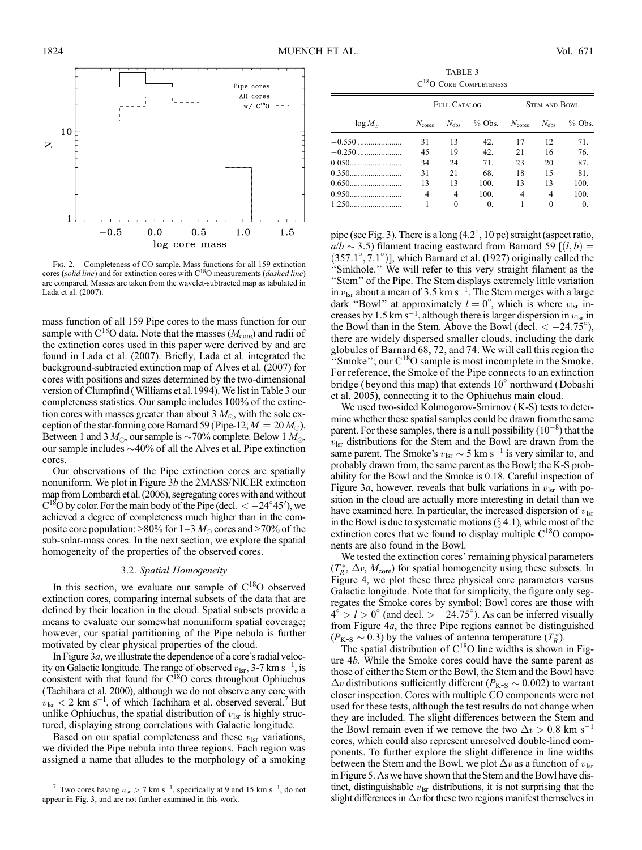

FIG. 2. - Completeness of CO sample. Mass functions for all 159 extinction cores (solid line) and for extinction cores with  $C^{18}O$  measurements (dashed line) are compared. Masses are taken from the wavelet-subtracted map as tabulated in Lada et al. (2007).

mass function of all 159 Pipe cores to the mass function for our sample with  $C^{18}O$  data. Note that the masses ( $M_{\text{core}}$ ) and radii of the extinction cores used in this paper were derived by and are found in Lada et al. (2007). Briefly, Lada et al. integrated the background-subtracted extinction map of Alves et al. (2007) for cores with positions and sizes determined by the two-dimensional version of Clumpfind (Williams et al.1994). We list in Table 3 our completeness statistics. Our sample includes 100% of the extinction cores with masses greater than about 3  $M_{\odot}$ , with the sole exception of the star-forming core Barnard 59 (Pipe-12;  $M = 20 M_{\odot}$ ). Between 1 and 3  $M_{\odot}$ , our sample is  $\sim$ 70% complete. Below 1  $M_{\odot}$ , our sample includes  $\sim$  40% of all the Alves et al. Pipe extinction cores.

Our observations of the Pipe extinction cores are spatially nonuniform. We plot in Figure  $3b$  the 2MASS/NICER extinction map from Lombardi et al. (2006), segregating cores with and without  $C^{18}$ O by color. For the main body of the Pipe (decl.  $<-24^{\circ}45'$ ), we achieved a degree of completeness much higher than in the composite core population:  $>80\%$  for  $1-3 M_{\odot}$  cores and  $>70\%$  of the sub-solar-mass cores. In the next section, we explore the spatial homogeneity of the properties of the observed cores.

#### 3.2. Spatial Homogeneity

In this section, we evaluate our sample of  $C^{18}O$  observed extinction cores, comparing internal subsets of the data that are defined by their location in the cloud. Spatial subsets provide a means to evaluate our somewhat nonuniform spatial coverage; however, our spatial partitioning of the Pipe nebula is further motivated by clear physical properties of the cloud.

In Figure  $3a$ , we illustrate the dependence of a core's radial velocity on Galactic longitude. The range of observed  $v_{\text{lsr}}$ , 3-7 km s<sup>-1</sup>, is consistent with that found for  $C^{18}O$  cores throughout Ophiuchus (Tachihara et al. 2000), although we do not observe any core with  $v_{\text{lsr}}$  < 2 km s<sup>-1</sup>, of which Tachihara et al. observed several.<sup>7</sup> But unlike Ophiuchus, the spatial distribution of  $v_{\text{lsr}}$  is highly structured, displaying strong correlations with Galactic longitude.

Based on our spatial completeness and these  $v_{\text{lsr}}$  variations, we divided the Pipe nebula into three regions. Each region was assigned a name that alludes to the morphology of a smoking

TABLE 3  $\rm C^{18}O$  Core Completeness

|                  | FULL CATALOG    |               |            | <b>STEM AND BOWL</b> |               |            |  |
|------------------|-----------------|---------------|------------|----------------------|---------------|------------|--|
| $\log M_{\odot}$ | $N_{\rm cores}$ | $N_{\rm obs}$ | $%$ Obs.   | $N_{\rm cores}$      | $N_{\rm obs}$ | $%$ Obs.   |  |
| $-0.550$         | 31              | 13            | 42.        | 17                   | 12            | 71.        |  |
|                  | 45              | 19            | 42.        | 21                   | 16            | 76.        |  |
|                  | 34              | 24            | 71         | 23                   | 20            | 87.        |  |
| 0.350            | 31              | 21            | 68.        | 18                   | 15            | 81.        |  |
|                  | 13              | 13            | 100.       | 13                   | 13            | 100.       |  |
| 0.950            | 4               | 4             | 100.       | 4                    | 4             | 100.       |  |
|                  |                 | $\Omega$      | $\Omega$ . |                      | $\Omega$      | $\Omega$ . |  |

pipe (see Fig. 3). There is a long (4.2 , 10 pc) straight (aspect ratio,  $a/b \sim 3.5$ ) filament tracing eastward from Barnard 59 [ $(l, b)$  =  $(357.1^\circ, 7.1^\circ)$ ], which Barnard et al. (1927) originally called the ''Sinkhole.'' We will refer to this very straight filament as the "Stem" of the Pipe. The Stem displays extremely little variation in  $v_{\text{lsr}}$  about a mean of 3.5 km s<sup>-1</sup>. The Stem merges with a large dark "Bowl" at approximately  $l = 0^{\circ}$ , which is where  $v_{\text{lsr}}$  increases by 1.5 km s<sup>-1</sup>, although there is larger dispersion in  $v_{\text{lsr}}$  in the Bowl than in the Stem. Above the Bowl (decl.  $\langle -24.75^{\circ} \rangle$ ), there are widely dispersed smaller clouds, including the dark globules of Barnard 68, 72, and 74. We will call this region the "Smoke"; our  $C^{18}O$  sample is most incomplete in the Smoke. For reference, the Smoke of the Pipe connects to an extinction bridge (beyond this map) that extends  $10^{\circ}$  northward (Dobashi et al. 2005), connecting it to the Ophiuchus main cloud.

We used two-sided Kolmogorov-Smirnov (K-S) tests to determine whether these spatial samples could be drawn from the same parent. For these samples, there is a null possibility  $(10^{-8})$  that the  $v_{\text{lsr}}$  distributions for the Stem and the Bowl are drawn from the same parent. The Smoke's  $v_{\text{lsr}} \sim 5 \text{ km s}^{-1}$  is very similar to, and probably drawn from, the same parent as the Bowl; the K-S probability for the Bowl and the Smoke is 0.18. Careful inspection of Figure 3a, however, reveals that bulk variations in  $v_{\text{lsr}}$  with position in the cloud are actually more interesting in detail than we have examined here. In particular, the increased dispersion of  $v_{\text{lsr}}$ in the Bowl is due to systematic motions  $(\S 4.1)$ , while most of the extinction cores that we found to display multiple  $C^{18}O$  components are also found in the Bowl.

We tested the extinction cores' remaining physical parameters  $(T_R^*, \Delta v, M_{\text{core}})$  for spatial homogeneity using these subsets. In Figure 4, we plot these three physical core parameters versus Galactic longitude. Note that for simplicity, the figure only segregates the Smoke cores by symbol; Bowl cores are those with  $4^{\circ} > l > 0^{\circ}$  (and decl.  $> -24.75^{\circ}$ ). As can be inferred visually from Figure 4a, the three Pipe regions cannot be distinguished  $(P_{K-S} \sim 0.3)$  by the values of antenna temperature  $(T_R^*)$ .

The spatial distribution of  $C^{18}O$  line widths is shown in Figure 4b. While the Smoke cores could have the same parent as those of either the Stem or the Bowl, the Stem and the Bowl have  $\Delta v$  distributions sufficiently different ( $P_{K-S} \sim 0.002$ ) to warrant closer inspection. Cores with multiple CO components were not used for these tests, although the test results do not change when they are included. The slight differences between the Stem and the Bowl remain even if we remove the two  $\Delta v > 0.8$  km s<sup>-1</sup> cores, which could also represent unresolved double-lined components. To further explore the slight difference in line widths between the Stem and the Bowl, we plot  $\Delta v$  as a function of  $v_{\text{lsr}}$ in Figure 5. As we have shown that the Stem and the Bowl have distinct, distinguishable  $v_{\text{lsr}}$  distributions, it is not surprising that the slight differences in  $\Delta v$  for these two regions manifest themselves in

<sup>&</sup>lt;sup>7</sup> Two cores having  $v_{\text{lsr}} > 7$  km s<sup>-1</sup>, specifically at 9 and 15 km s<sup>-1</sup>, do not appear in Fig. 3, and are not further examined in this work.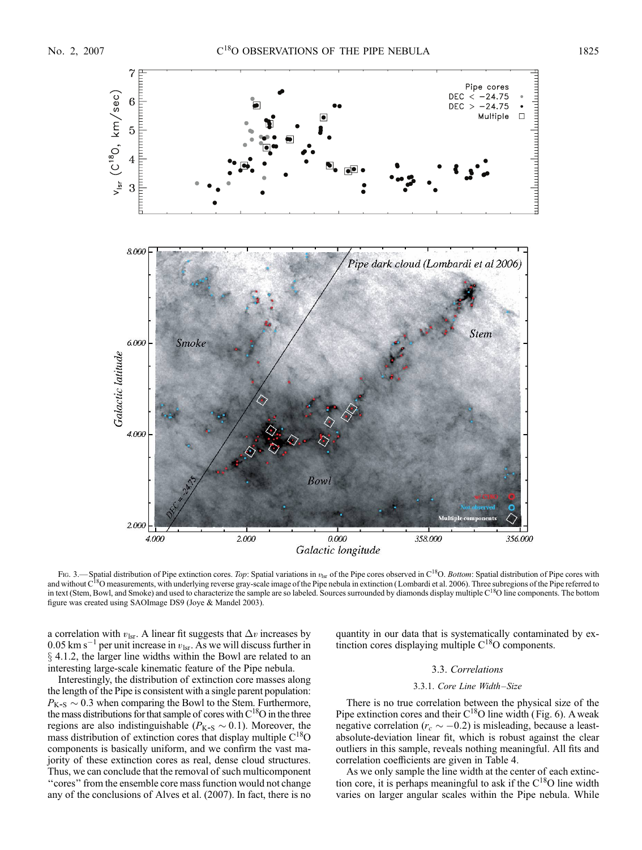

Fig. 3.— Spatial distribution of Pipe extinction cores. Top: Spatial variations in  $v_{\text{lsr}}$  of the Pipe cores observed in C<sup>18</sup>O. Bottom: Spatial distribution of Pipe cores with and without C<sup>18</sup>O measurements, with underlying reverse gray-scale image of the Pipe nebula in extinction (Lombardi et al. 2006). Three subregions of the Pipe referred to in text (Stem, Bowl, and Smoke) and used to characterize the sample are so labeled. Sources surrounded by diamonds display multiple C<sup>18</sup>O line components. The bottom figure was created using SAOImage DS9 (Joye & Mandel 2003).

a correlation with  $v_{\text{lsr}}$ . A linear fit suggests that  $\Delta v$  increases by 0.05 km s<sup>-1</sup> per unit increase in  $v_{\text{lsr}}$ . As we will discuss further in  $\S$  4.1.2, the larger line widths within the Bowl are related to an interesting large-scale kinematic feature of the Pipe nebula.

Interestingly, the distribution of extinction core masses along the length of the Pipe is consistent with a single parent population:  $P_{K-S} \sim 0.3$  when comparing the Bowl to the Stem. Furthermore, the mass distributions for that sample of cores with  $C^{18}O$  in the three regions are also indistinguishable ( $P_{K-S} \sim 0.1$ ). Moreover, the mass distribution of extinction cores that display multiple  $C^{18}O$ components is basically uniform, and we confirm the vast majority of these extinction cores as real, dense cloud structures. Thus, we can conclude that the removal of such multicomponent ''cores'' from the ensemble core mass function would not change any of the conclusions of Alves et al. (2007). In fact, there is no quantity in our data that is systematically contaminated by extinction cores displaying multiple C<sup>18</sup>O components.

## 3.3. Correlations

## 3.3.1. Core Line Width-Size

There is no true correlation between the physical size of the Pipe extinction cores and their  $C^{18}O$  line width (Fig. 6). A weak negative correlation ( $r_c \sim -0.2$ ) is misleading, because a leastabsolute-deviation linear fit, which is robust against the clear outliers in this sample, reveals nothing meaningful. All fits and correlation coefficients are given in Table 4.

As we only sample the line width at the center of each extinction core, it is perhaps meaningful to ask if the  $C^{18}O$  line width varies on larger angular scales within the Pipe nebula. While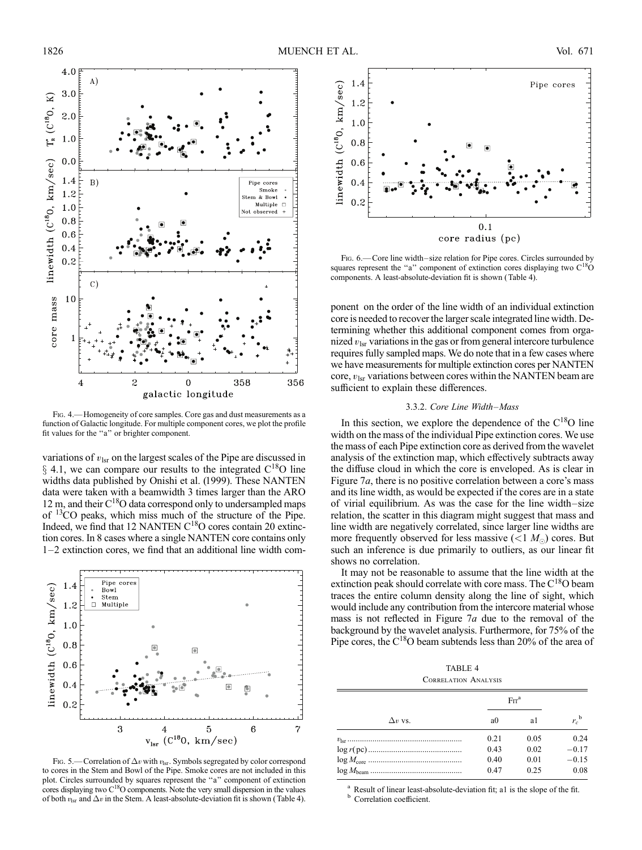

Fig. 4.—Homogeneity of core samples. Core gas and dust measurements as a function of Galactic longitude. For multiple component cores, we plot the profile fit values for the ''a'' or brighter component.

variations of  $v_{\text{lsr}}$  on the largest scales of the Pipe are discussed in  $\S$  4.1, we can compare our results to the integrated C<sup>18</sup>O line widths data published by Onishi et al. (1999). These NANTEN data were taken with a beamwidth 3 times larger than the ARO 12 m, and their  $C^{18}O$  data correspond only to undersampled maps of 13CO peaks, which miss much of the structure of the Pipe. Indeed, we find that 12 NANTEN C<sup>18</sup>O cores contain 20 extinction cores. In 8 cases where a single NANTEN core contains only  $1-2$  extinction cores, we find that an additional line width com-



Fig. 5.—Correlation of  $\Delta v$  with  $v_{\text{lsr}}$ . Symbols segregated by color correspond to cores in the Stem and Bowl of the Pipe. Smoke cores are not included in this plot. Circles surrounded by squares represent the "a" component of extinction cores displaying two  $C^{18}O$  components. Note the very small dispersion in the values of both  $v_{\text{lsr}}$  and  $\Delta v$  in the Stem. A least-absolute-deviation fit is shown (Table 4).



Fig. 6.—Core line width-size relation for Pipe cores. Circles surrounded by squares represent the "a" component of extinction cores displaying two  $C^{18}O$ components. A least-absolute-deviation fit is shown (Table 4).

ponent on the order of the line width of an individual extinction core is needed to recover the larger scale integrated line width. Determining whether this additional component comes from organized  $v_{\text{lsr}}$  variations in the gas or from general intercore turbulence requires fully sampled maps. We do note that in a few cases where we have measurements for multiple extinction cores per NANTEN core,  $v_{\text{lsr}}$  variations between cores within the NANTEN beam are sufficient to explain these differences.

### 3.3.2. Core Line Width-Mass

In this section, we explore the dependence of the  $C^{18}O$  line width on the mass of the individual Pipe extinction cores. We use the mass of each Pipe extinction core as derived from the wavelet analysis of the extinction map, which effectively subtracts away the diffuse cloud in which the core is enveloped. As is clear in Figure 7*a*, there is no positive correlation between a core's mass and its line width, as would be expected if the cores are in a state of virial equilibrium. As was the case for the line width-size relation, the scatter in this diagram might suggest that mass and line width are negatively correlated, since larger line widths are more frequently observed for less massive  $(<1 M<sub>o</sub>)$  cores. But such an inference is due primarily to outliers, as our linear fit shows no correlation.

It may not be reasonable to assume that the line width at the extinction peak should correlate with core mass. The  $C^{18}O$  beam traces the entire column density along the line of sight, which would include any contribution from the intercore material whose mass is not reflected in Figure 7a due to the removal of the background by the wavelet analysis. Furthermore, for 75% of the Pipe cores, the C18O beam subtends less than 20% of the area of

TABLE 4 Correlation Analysis

|                | Err <sup>a</sup> |      |                    |
|----------------|------------------|------|--------------------|
| $\Delta v$ vs. | a <sub>0</sub>   | a1   | $r_c^{\mathrm{b}}$ |
|                | 0.21             | 0.05 | 0.24               |
|                | 0.43             | 0.02 | $-0.17$            |
|                | 0.40             | 0.01 | $-0.15$            |
|                | 0.47             | 0.25 | 0.08               |

Result of linear least-absolute-deviation fit; a1 is the slope of the fit. Correlation coefficient.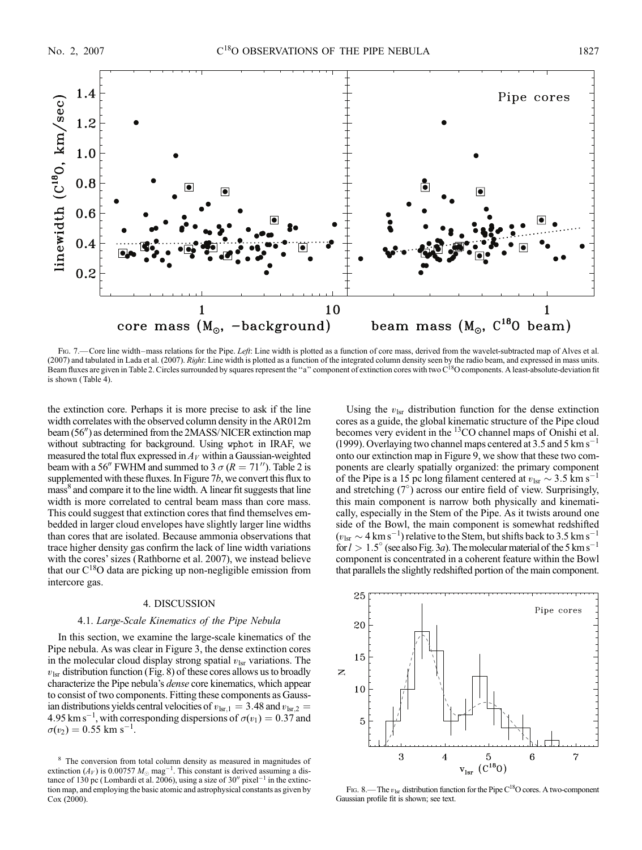

Fig. 7.—Core line width–mass relations for the Pipe. Left: Line width is plotted as a function of core mass, derived from the wavelet-subtracted map of Alves et al. (2007) and tabulated in Lada et al. (2007). Right: Line width is plotted as a function of the integrated column density seen by the radio beam, and expressed in mass units. Beam fluxes are given in Table 2. Circles surrounded by squares represent the "a" component of extinction cores with two C<sup>18</sup>O components. A least-absolute-deviation fit is shown ( Table 4).

the extinction core. Perhaps it is more precise to ask if the line width correlates with the observed column density in the AR012m beam  $(56'')$  as determined from the 2MASS/NICER extinction map without subtracting for background. Using wphot in IRAF, we measured the total flux expressed in  $A_V$  within a Gaussian-weighted beam with a 56<sup>"</sup> FWHM and summed to 3  $\sigma$  ( $R = 71$ "). Table 2 is supplemented with these fluxes. In Figure 7b, we convert this flux to mass<sup>8</sup> and compare it to the line width. A linear fit suggests that line width is more correlated to central beam mass than core mass. This could suggest that extinction cores that find themselves embedded in larger cloud envelopes have slightly larger line widths than cores that are isolated. Because ammonia observations that trace higher density gas confirm the lack of line width variations with the cores' sizes (Rathborne et al. 2007), we instead believe that our  $C^{18}O$  data are picking up non-negligible emission from intercore gas.

## 4. DISCUSSION

## 4.1. Large-Scale Kinematics of the Pipe Nebula

In this section, we examine the large-scale kinematics of the Pipe nebula. As was clear in Figure 3, the dense extinction cores in the molecular cloud display strong spatial  $v_{\text{lsr}}$  variations. The  $v_{\text{lsr}}$  distribution function (Fig. 8) of these cores allows us to broadly characterize the Pipe nebula's dense core kinematics, which appear to consist of two components. Fitting these components as Gaussian distributions yields central velocities of  $v_{\text{lsr,1}} = 3.48$  and  $v_{\text{lsr,2}} =$ 4.95 km s<sup>-1</sup>, with corresponding dispersions of  $\sigma(v_1) = 0.37$  and  $\sigma(v_2) = 0.55$  km s<sup>-1</sup>.

Using the  $v_{\text{lsr}}$  distribution function for the dense extinction cores as a guide, the global kinematic structure of the Pipe cloud becomes very evident in the <sup>13</sup>CO channel maps of Onishi et al. (1999). Overlaying two channel maps centered at 3.5 and 5 km  $s^{-1}$ onto our extinction map in Figure 9, we show that these two components are clearly spatially organized: the primary component of the Pipe is a 15 pc long filament centered at  $v_{\text{lsr}} \sim 3.5 \text{ km s}^{-1}$ and stretching  $(7^\circ)$  across our entire field of view. Surprisingly, this main component is narrow both physically and kinematically, especially in the Stem of the Pipe. As it twists around one side of the Bowl, the main component is somewhat redshifted  $(v_{\text{lsr}} \sim 4 \text{ km s}^{-1})$  relative to the Stem, but shifts back to 3.5 km s<sup>-1</sup> for  $l > 1.5^{\circ}$  (see also Fig. 3*a*). The molecular material of the 5 km s<sup>-1</sup> component is concentrated in a coherent feature within the Bowl that parallels the slightly redshifted portion of the main component.



FIG. 8.— The  $v_{\text{lsr}}$  distribution function for the Pipe C<sup>18</sup>O cores. A two-component Gaussian profile fit is shown; see text.

<sup>8</sup> The conversion from total column density as measured in magnitudes of extinction ( $A_V$ ) is 0.00757  $M_{\odot}$  mag<sup>-1</sup>. This constant is derived assuming a distance of 130 pc (Lombardi et al. 2006), using a size of 30" pixel<sup>-1</sup> in the extinction map, and employing the basic atomic and astrophysical constants as given by Cox (2000).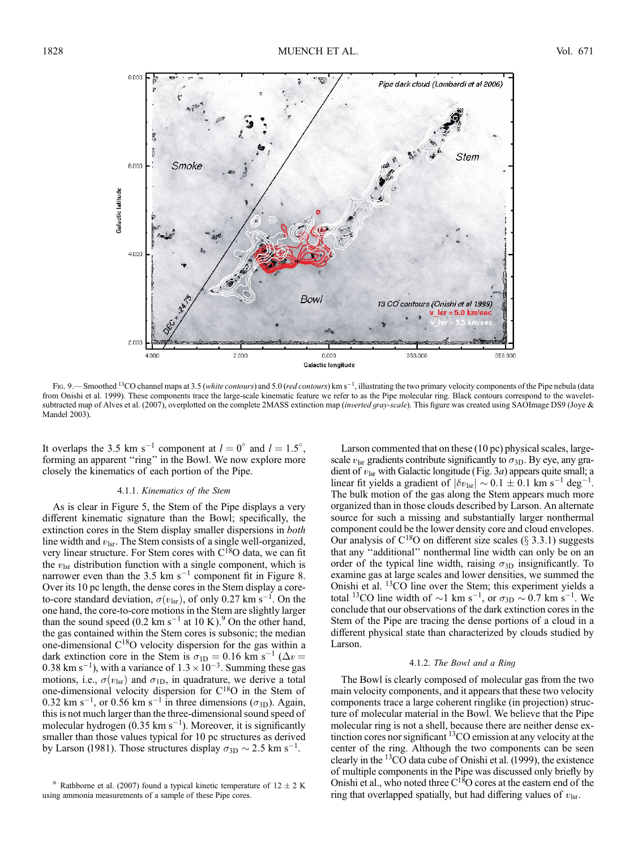

Fig. 9.—Smoothed <sup>13</sup>CO channel maps at 3.5 (*white contours*) and 5.0 (*red contours*) km s<sup>-1</sup>, illustrating the two primary velocity components of the Pipe nebula (data from Onishi et al. 1999). These components trace the large-scale kinematic feature we refer to as the Pipe molecular ring. Black contours correspond to the waveletsubtracted map of Alves et al. (2007), overplotted on the complete 2MASS extinction map (inverted gray-scale). This figure was created using SAOImage DS9 (Joye & Mandel 2003).

It overlaps the 3.5 km s<sup>-1</sup> component at  $l = 0^{\circ}$  and  $l = 1.5^{\circ}$ , forming an apparent "ring" in the Bowl. We now explore more closely the kinematics of each portion of the Pipe.

#### 4.1.1. Kinematics of the Stem

As is clear in Figure 5, the Stem of the Pipe displays a very different kinematic signature than the Bowl; specifically, the extinction cores in the Stem display smaller dispersions in both line width and  $v_{\text{lsr}}$ . The Stem consists of a single well-organized, very linear structure. For Stem cores with C<sup>18</sup>O data, we can fit the  $v_{\text{lsr}}$  distribution function with a single component, which is narrower even than the 3.5 km  $s^{-1}$  component fit in Figure 8. Over its 10 pc length, the dense cores in the Stem display a coreto-core standard deviation,  $\sigma(v_{\rm lsr})$ , of only 0.27 km s<sup>-1</sup>. On the one hand, the core-to-core motions in the Stem are slightly larger than the sound speed (0.2 km  $s^{-1}$  at 10 K).<sup>9</sup> On the other hand, the gas contained within the Stem cores is subsonic; the median one-dimensional C18O velocity dispersion for the gas within a dark extinction core in the Stem is  $\sigma_{1D} = 0.16$  km s<sup>-1</sup> ( $\Delta v =$ 0.38 km s<sup>-1</sup>), with a variance of  $1.3 \times 10^{-3}$ . Summing these gas motions, i.e.,  $\sigma(v_{\text{lsr}})$  and  $\sigma_{\text{1D}}$ , in quadrature, we derive a total one-dimensional velocity dispersion for C18O in the Stem of 0.32 km s<sup>-1</sup>, or 0.56 km s<sup>-1</sup> in three dimensions ( $\sigma_{3D}$ ). Again, this is not much larger than the three-dimensional sound speed of molecular hydrogen (0.35 km  $s^{-1}$ ). Moreover, it is significantly smaller than those values typical for 10 pc structures as derived by Larson (1981). Those structures display  $\sigma_{3D} \sim 2.5$  km s<sup>-1</sup>.

Larson commented that on these (10 pc) physical scales, largescale  $v_{\text{lsr}}$  gradients contribute significantly to  $\sigma_{3D}$ . By eye, any gradient of  $v_{\text{lsr}}$  with Galactic longitude (Fig. 3*a*) appears quite small; a linear fit yields a gradient of  $|\delta v_{\rm lsr}| \sim 0.1 \pm 0.1$  km s<sup>-1</sup> deg<sup>-1</sup>. The bulk motion of the gas along the Stem appears much more organized than in those clouds described by Larson. An alternate source for such a missing and substantially larger nonthermal component could be the lower density core and cloud envelopes. Our analysis of  $C^{18}O$  on different size scales ( $\S$  3.3.1) suggests that any ''additional'' nonthermal line width can only be on an order of the typical line width, raising  $\sigma_{3D}$  insignificantly. To examine gas at large scales and lower densities, we summed the Onishi et al. <sup>13</sup>CO line over the Stem; this experiment yields a total <sup>13</sup>CO line width of  $\sim$ 1 km s<sup>-1</sup>, or  $\sigma_{3D} \sim 0.7$  km s<sup>-1</sup>. We conclude that our observations of the dark extinction cores in the Stem of the Pipe are tracing the dense portions of a cloud in a different physical state than characterized by clouds studied by Larson.

#### 4.1.2. The Bowl and a Ring

The Bowl is clearly composed of molecular gas from the two main velocity components, and it appears that these two velocity components trace a large coherent ringlike (in projection) structure of molecular material in the Bowl. We believe that the Pipe molecular ring is not a shell, because there are neither dense extinction cores nor significant <sup>13</sup>CO emission at any velocity at the center of the ring. Although the two components can be seen clearly in the  ${}^{13}CO$  data cube of Onishi et al. (1999), the existence of multiple components in the Pipe was discussed only briefly by Onishi et al., who noted three  $C^{18}O$  cores at the eastern end of the ring that overlapped spatially, but had differing values of  $v_{\text{lsr}}$ .

<sup>&</sup>lt;sup>9</sup> Rathborne et al. (2007) found a typical kinetic temperature of  $12 \pm 2$  K using ammonia measurements of a sample of these Pipe cores.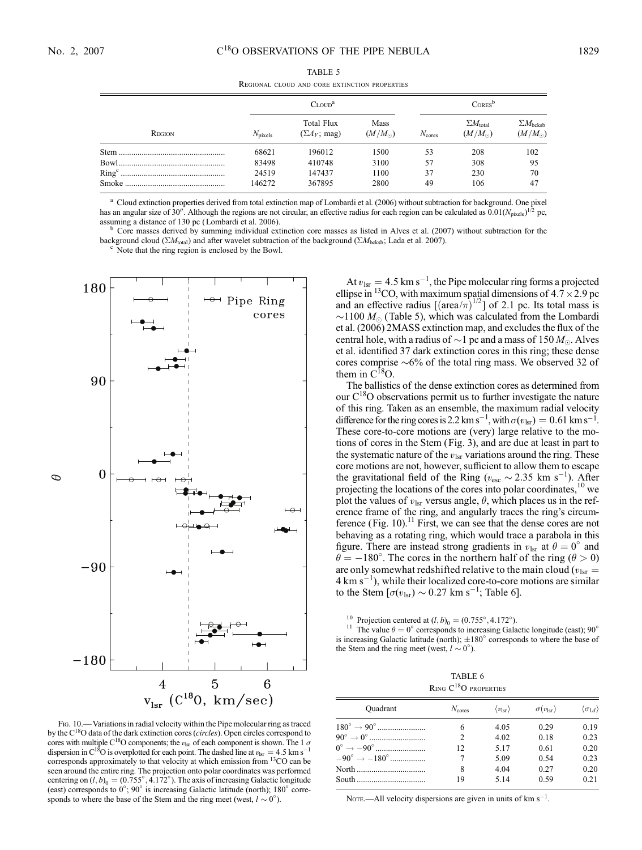|        |                     | <b>REGIONAL CLOUD AND CORE EXTINCTION PROPERTIES</b> |                               |                    |                                           |                                           |
|--------|---------------------|------------------------------------------------------|-------------------------------|--------------------|-------------------------------------------|-------------------------------------------|
|        |                     | $C_{\text{LOUD}}^a$                                  | $\mathrm{Cores}^{\mathrm{b}}$ |                    |                                           |                                           |
| REGION | $N_{\text{pixels}}$ | Total Flux<br>$(\Sigma A_V; \text{mag})$             | Mass<br>$(M/M_{\odot})$       | $N_{\text{cores}}$ | $\Sigma M_{\rm total}$<br>$(M/M_{\odot})$ | $\Sigma M_{\rm bcksb}$<br>$(M/M_{\odot})$ |
|        | 68621               | 196012                                               | 1500                          | 53                 | 208                                       | 102                                       |
|        | 83498               | 410748                                               | 3100                          | 57                 | 308                                       | 95                                        |
|        | 24519               | 147437                                               | 1100                          | 37                 | 230                                       | 70                                        |
|        | 146272              | 367895                                               | 2800                          | 49                 | 106                                       | 47                                        |

TABLE 5 Regional cloud and core extinction properties

<sup>a</sup> Cloud extinction properties derived from total extinction map of Lombardi et al. (2006) without subtraction for background. One pixel has an angular size of 30<sup>*n*</sup>. Although the regions are not circular, an effective radius for each region can be calculated as  $0.01(N_{\text{pixels}})^{1/2}$  pc, assuming a distance of 130 pc (Lombardi et al. 2006).

 $b$  Core masses derived by summing individual extinction core masses as listed in Alves et al. (2007) without subtraction for the background cloud ( $\Sigma M_{\text{total}}$ ) and after wavelet subtraction of the background ( $\Sigma M_{\text{bcksb}}$ ; Lada et al. 2007). <sup>c</sup> Note that the ring region is enclosed by the Bowl.



Fig. 10.—Variations in radial velocity within the Pipe molecular ring as traced by the  $C^{18}O$  data of the dark extinction cores (*circles*). Open circles correspond to cores with multiple C<sup>18</sup>O components; the  $v_{\text{lsr}}$  of each component is shown. The 1  $\sigma$ dispersion in C<sup>18</sup>O is overplotted for each point. The dashed line at  $v_{\text{lsr}} = 4.5 \text{ km s}^{-1}$ corresponds approximately to that velocity at which emission from 13CO can be seen around the entire ring. The projection onto polar coordinates was performed centering on  $(l, b)_0 = (0.755^\circ, 4.172^\circ)$ . The axis of increasing Galactic longitude (east) corresponds to  $0^{\circ}$ ; 90° is increasing Galactic latitude (north); 180° corresponds to where the base of the Stem and the ring meet (west,  $l \sim 0^{\circ}$ ).

At  $v_{\text{lsr}} = 4.5 \text{ km s}^{-1}$ , the Pipe molecular ring forms a projected ellipse in <sup>13</sup>CO, with maximum spatial dimensions of  $4.7 \times 2.9$  pc and an effective radius  $[(\text{area}/\pi)^{1/2}]$  of 2.1 pc. Its total mass is  $\sim$ 1100  $M_{\odot}$  (Table 5), which was calculated from the Lombardi et al. (2006) 2MASS extinction map, and excludes the flux of the central hole, with a radius of  ${\sim}1$  pc and a mass of  $150\,M_\odot.$  Alves et al. identified 37 dark extinction cores in this ring; these dense cores comprise  $\sim 6\%$  of the total ring mass. We observed 32 of them in  $C^{18}O$ .

The ballistics of the dense extinction cores as determined from our  $C^{18}O$  observations permit us to further investigate the nature of this ring. Taken as an ensemble, the maximum radial velocity difference for the ring cores is 2.2 km s<sup>-1</sup>, with  $\sigma(v_{\rm lsr}) = 0.61$  km s<sup>-1</sup>. These core-to-core motions are (very) large relative to the motions of cores in the Stem (Fig. 3), and are due at least in part to the systematic nature of the  $v_{\text{lsr}}$  variations around the ring. These core motions are not, however, sufficient to allow them to escape the gravitational field of the Ring ( $v_{\text{esc}} \sim 2.35 \text{ km s}^{-1}$ ). After projecting the locations of the cores into polar coordinates,<sup>10</sup> we plot the values of  $v_{\text{lsr}}$  versus angle,  $\theta$ , which places us in the reference frame of the ring, and angularly traces the ring's circumference (Fig. 10).<sup>11</sup> First, we can see that the dense cores are not behaving as a rotating ring, which would trace a parabola in this figure. There are instead strong gradients in  $v_{\text{lsr}}$  at  $\theta = 0^{\circ}$  and  $\ddot{\theta} = -180^{\circ}$ . The cores in the northern half of the ring ( $\theta > 0$ ) are only somewhat redshifted relative to the main cloud ( $v_{\text{lsr}} =$  $4 \text{ km s}^{-1}$ ), while their localized core-to-core motions are similar to the Stem  $[\sigma(v_{\rm lsr}) \sim 0.27 \text{ km s}^{-1}]$ ; Table 6].

<sup>10</sup> Projection centered at  $(l, b)$ <sub>0</sub> =  $(0.755^{\circ}, 4.172^{\circ})$ 

<sup>11</sup> The value  $\theta = 0^\circ$  corresponds to increasing Galactic longitude (east); 90<sup>°</sup> is increasing Galactic latitude (north);  $\pm 180^\circ$  corresponds to where the base of the Stem and the ring meet (west,  $l \sim 0^{\circ}$ ).

TABLE 6 RING C<sup>18</sup>O PROPERTIES

| Ouadrant                               | $N_{\rm cores}$ | $\langle v_{\rm lsr} \rangle$ | $\sigma(v_{\rm lsr})$ | $\langle \sigma_{1d} \rangle$ |
|----------------------------------------|-----------------|-------------------------------|-----------------------|-------------------------------|
|                                        | 6               | 4.05                          | 0.29                  | 0.19                          |
|                                        | $\mathfrak{D}$  | 4.02                          | 0.18                  | 0.23                          |
|                                        | 12              | 5.17                          | 0.61                  | 0.20                          |
| $-90^{\circ} \rightarrow -180^{\circ}$ |                 | 5.09                          | 0.54                  | 0.23                          |
| North                                  | 8               | 4.04                          | 0.27                  | 0.20                          |
| South                                  | 19              | 5 1 4                         | 0.59                  | 0.21                          |

Nore.—All velocity dispersions are given in units of  $km s^{-1}$ .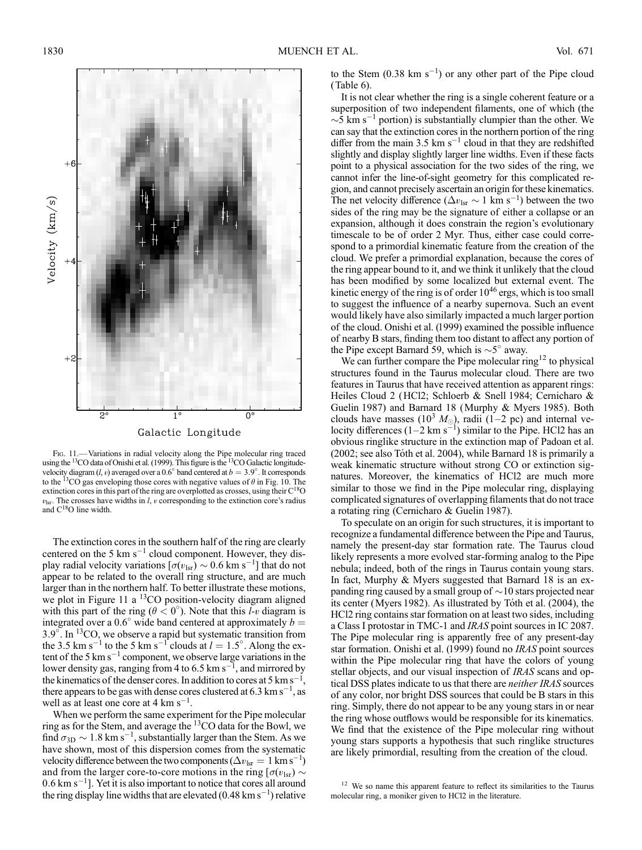

Fig. 11.— Variations in radial velocity along the Pipe molecular ring traced using the <sup>13</sup>CO data of Onishi et al. (1999). This figure is the <sup>13</sup>CO Galactic longitudevelocity diagram (*l*, *v*) averaged over a 0.6° band centered at  $b = 3.9$ °. It corresponds to the <sup>13</sup>CO gas enveloping those cores with negative values of  $\theta$  in Fig. 10. The extinction cores in this part of the ring are overplotted as crosses, using their  $C^{18}O$  $v_{\text{lsr}}$ . The crosses have widths in *l*, *v* corresponding to the extinction core's radius and  $C^{18}O$  line width.

The extinction cores in the southern half of the ring are clearly centered on the 5 km  $s^{-1}$  cloud component. However, they display radial velocity variations  $[\sigma(v_{\text{lsr}}) \sim 0.6 \text{ km s}^{-1}]$  that do not appear to be related to the overall ring structure, and are much larger than in the northern half. To better illustrate these motions, we plot in Figure 11 a <sup>13</sup>CO position-velocity diagram aligned with this part of the ring ( $\theta < 0^{\circ}$ ). Note that this *l-v* diagram is integrated over a 0.6° wide band centered at approximately  $b =$ 3.9<sup>°</sup>. In <sup>13</sup>CO, we observe a rapid but systematic transition from the 3.5 km s<sup>-1</sup> to the 5 km s<sup>-1</sup> clouds at  $l = 1.5^{\circ}$ . Along the extent of the 5  $km s^{-1}$  component, we observe large variations in the lower density gas, ranging from 4 to 6.5 km s<sup>-1</sup>, and mirrored by the kinematics of the denser cores. In addition to cores at 5 km s<sup>-1</sup>, there appears to be gas with dense cores clustered at 6.3  $\text{km s}^{-1}$ , as well as at least one core at 4  $\rm km~s^{-1}$ .

When we perform the same experiment for the Pipe molecular ring as for the Stem, and average the 13CO data for the Bowl, we find  $\sigma_{\rm 3D} \sim 1.8$  km s<sup>-1</sup>, substantially larger than the Stem. As we have shown, most of this dispersion comes from the systematic velocity difference between the two components ( $\Delta v_{\rm lsr} = 1 \text{ km s}^{-1}$ ) and from the larger core-to-core motions in the ring [ $\sigma(v_{\rm lsr})$   $\sim$  $0.6 \text{ km s}^{-1}$ ]. Yet it is also important to notice that cores all around the ring display line widths that are elevated (0.48 km s<sup>-1</sup>) relative

to the Stem  $(0.38 \text{ km s}^{-1})$  or any other part of the Pipe cloud (Table 6).

It is not clear whether the ring is a single coherent feature or a superposition of two independent filaments, one of which (the  $\sim$ 5 km s<sup>-1</sup> portion) is substantially clumpier than the other. We can say that the extinction cores in the northern portion of the ring differ from the main 3.5 km  $s^{-1}$  cloud in that they are redshifted slightly and display slightly larger line widths. Even if these facts point to a physical association for the two sides of the ring, we cannot infer the line-of-sight geometry for this complicated region, and cannot precisely ascertain an origin for these kinematics. The net velocity difference ( $\Delta v_{\text{lsr}} \sim 1 \text{ km s}^{-1}$ ) between the two sides of the ring may be the signature of either a collapse or an expansion, although it does constrain the region's evolutionary timescale to be of order 2 Myr. Thus, either case could correspond to a primordial kinematic feature from the creation of the cloud. We prefer a primordial explanation, because the cores of the ring appear bound to it, and we think it unlikely that the cloud has been modified by some localized but external event. The kinetic energy of the ring is of order  $10^{46}$  ergs, which is too small to suggest the influence of a nearby supernova. Such an event would likely have also similarly impacted a much larger portion of the cloud. Onishi et al. (1999) examined the possible influence of nearby B stars, finding them too distant to affect any portion of the Pipe except Barnard 59, which is  $\sim 5^\circ$  away.

We can further compare the Pipe molecular  $ring<sup>12</sup>$  to physical structures found in the Taurus molecular cloud. There are two features in Taurus that have received attention as apparent rings: Heiles Cloud 2 (HCl2; Schloerb & Snell 1984; Cernicharo & Guelin 1987) and Barnard 18 (Murphy & Myers 1985). Both clouds have masses (10<sup>3</sup>  $M_{\odot}$ ), radii (1-2 pc) and internal velocity differences  $(1-2 \text{ km s}^{-1})$  similar to the Pipe. HCl2 has an obvious ringlike structure in the extinction map of Padoan et al. (2002; see also Tóth et al. 2004), while Barnard 18 is primarily a weak kinematic structure without strong CO or extinction signatures. Moreover, the kinematics of HCl2 are much more similar to those we find in the Pipe molecular ring, displaying complicated signatures of overlapping filaments that do not trace a rotating ring (Cernicharo & Guelin 1987).

To speculate on an origin for such structures, it is important to recognize a fundamental difference between the Pipe and Taurus, namely the present-day star formation rate. The Taurus cloud likely represents a more evolved star-forming analog to the Pipe nebula; indeed, both of the rings in Taurus contain young stars. In fact, Murphy & Myers suggested that Barnard 18 is an expanding ring caused by a small group of  $\sim\!10$  stars projected near its center (Myers 1982). As illustrated by Tóth et al. (2004), the HCl2 ring contains star formation on at least two sides, including a Class I protostar in TMC-1 and IRAS point sources in IC 2087. The Pipe molecular ring is apparently free of any present-day star formation. Onishi et al. (1999) found no IRAS point sources within the Pipe molecular ring that have the colors of young stellar objects, and our visual inspection of IRAS scans and optical DSS plates indicate to us that there are neither IRAS sources of any color, nor bright DSS sources that could be B stars in this ring. Simply, there do not appear to be any young stars in or near the ring whose outflows would be responsible for its kinematics. We find that the existence of the Pipe molecular ring without young stars supports a hypothesis that such ringlike structures are likely primordial, resulting from the creation of the cloud.

<sup>&</sup>lt;sup>12</sup> We so name this apparent feature to reflect its similarities to the Taurus molecular ring, a moniker given to HCl2 in the literature.